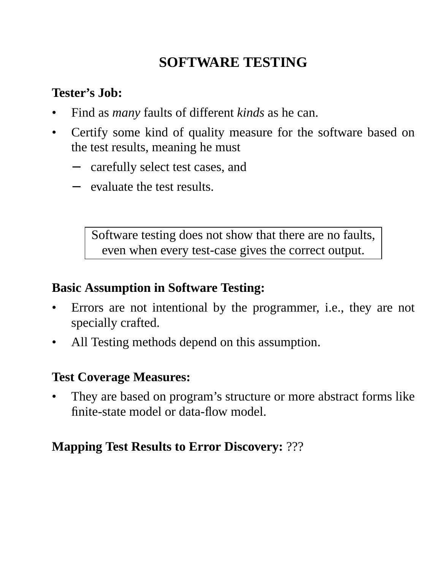# **SOFTWARE TESTING**

### **Tester's Job:**

- Find as *many* faults of different *kinds* as he can.
- Certify some kind of quality measure for the software based on the test results, meaning he must
	- − carefully select test cases, and
	- evaluate the test results.

Software testing does not show that there are no faults, even when every test-case gives the correct output.

## **Basic Assumption in Software Testing:**

- Errors are not intentional by the programmer, i.e., they are not specially crafted.
- All Testing methods depend on this assumption.

## **Test Coverage Measures:**

They are based on program's structure or more abstract forms like finite-state model or data-flow model.

## **Mapping Test Results to Error Discovery:** ???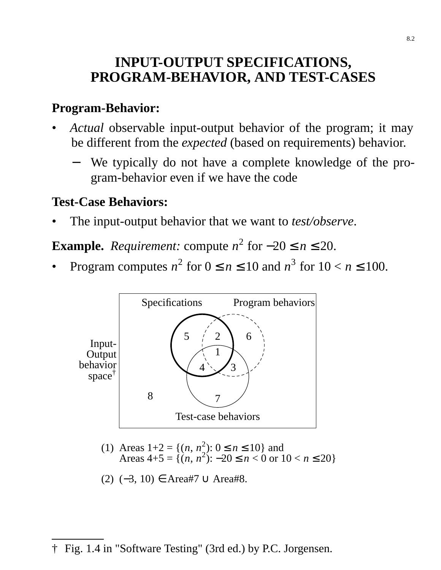## **INPUT-OUTPUT SPECIFICATIONS, PROGRAM-BEHAVIOR, AND TEST-CASES**

### **Program-Behavior:**

- *Actual* observable input-output behavior of the program; it may be different from the *expected* (based on requirements) behavior.
	- − We typically do not have a complete knowledge of the program-behavior even if we have the code

## **Test-Case Behaviors:**

• The input-output behavior that we want to *test/observe*.

**Example.** *Requirement:* compute  $n^2$  for  $-20 \le n \le 20$ .

• Program computes  $n^2$  for  $0 \le n \le 10$  and  $n^3$  for  $10 < n \le 100$ .



Areas  $1+2 = \{(n, n^2): 0 \le n \le 10\}$  and Areas  $4+5 = \{(n, n^2): -20 \le n < 0 \text{ or } 10 < n \le 20\}$ (1)

(2) 
$$
(-3, 10) \in \text{Area#7} \cup \text{Area#8}.
$$

#### † Fig. 1.4 in "Software Testing" (3rd ed.) by P.C. Jorgensen.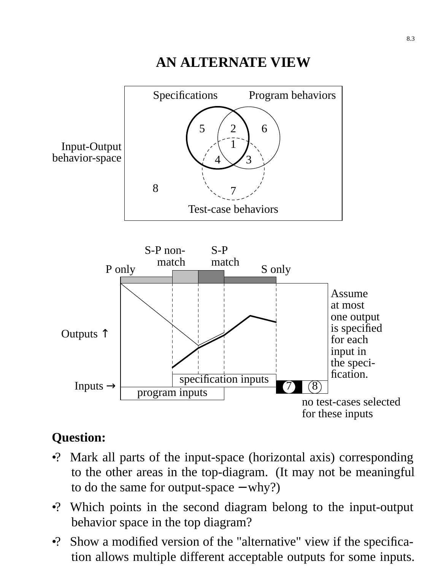## **AN ALTERNATE VIEW** Specifications Program behaviors Test-case behaviors Input-Output behavior-space 1 7  $5 \quad / \quad 2$ 3 6 4 8



# **Question:**

- •? Mark all parts of the input-space (horizontal axis) corresponding to the other areas in the top-diagram. (It may not be meaningful to do the same for output-space − why?)
- •? Which points in the second diagram belong to the input-output behavior space in the top diagram?
- •? Show a modified version of the "alternative" view if the specification allows multiple different acceptable outputs for some inputs.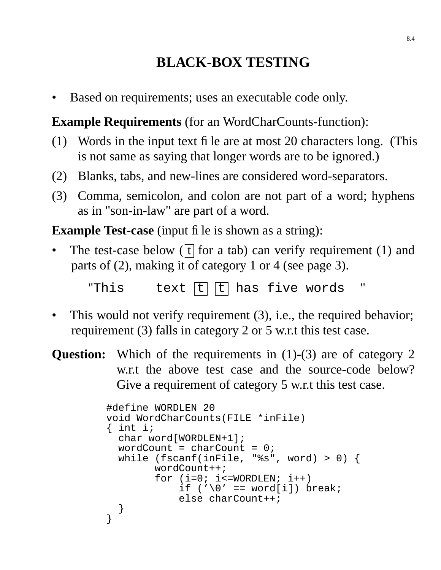# **BLACK-BOX TESTING**

• Based on requirements; uses an executable code only.

**Example Requirements** (for an WordCharCounts-function):

- (1) Words in the input text file are at most 20 characters long. (This is not same as saying that longer words are to be ignored.)
- (2) Blanks, tabs, and new-lines are considered word-separators.
- (3) Comma, semicolon, and colon are not part of a word; hyphens as in "son-in-law" are part of a word.

**Example Test-case** (input file is shown as a string):

The test-case below ( $\overline{t}$  for a tab) can verify requirement (1) and parts of (2), making it of category 1 or 4 (see page 3).

"This text  $[t]$   $[t]$  has five words

- This would not verify requirement (3), i.e., the required behavior; requirement (3) falls in category 2 or 5 w.r.t this test case.
- **Question:** Which of the requirements in (1)-(3) are of category 2 w.r.t the above test case and the source-code below? Give a requirement of category 5 w.r.t this test case.

```
#define WORDLEN 20
void WordCharCounts(FILE *inFile)
\{ int i;
  char word[WORDLEN+1];
  wordCount = charCount = 0;
 while (fscanf(inFile, "%s", word) > 0) {
        wordCount++;
        for (i=0; i<=WORDLEN; i++)if ('\0' == word[i]) break;
            else charCount++;
 }
}
```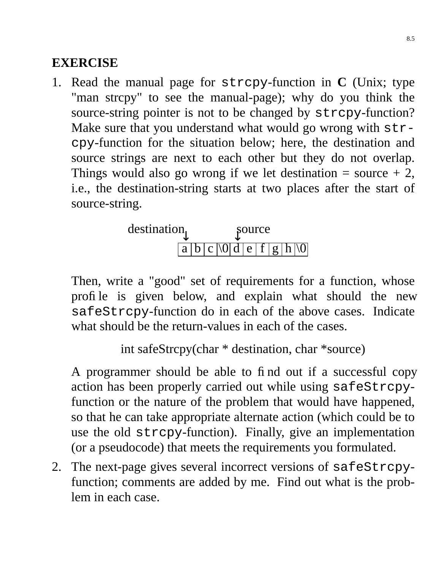## **EXERCISE**

1. Read the manual page for strcpy-function in **C** (Unix; type "man strcpy" to see the manual-page); why do you think the source-string pointer is not to be changed by strcpy-function? Make sure that you understand what would go wrong with  $str$ cpy-function for the situation below; here, the destination and source strings are next to each other but they do not overlap. Things would also go wrong if we let destination  $=$  source  $+2$ , i.e., the destination-string starts at two places after the start of source-string.

$$
\text{destination} \quad \text{source}
$$
\n
$$
\boxed{a \mid b \mid c \mid \text{0} \mid d \mid e \mid f \mid g \mid h \mid \text{0}}
$$

Then, write a "good" set of requirements for a function, whose profile is given below, and explain what should the new safeStrcpy-function do in each of the above cases. Indicate what should be the return-values in each of the cases.

```
int safeStrcpy(char * destination, char *source)
```
A programmer should be able to find out if a successful copy action has been properly carried out while using safeStrcpyfunction or the nature of the problem that would have happened, so that he can take appropriate alternate action (which could be to use the old strcpy-function). Finally, give an implementation (or a pseudocode) that meets the requirements you formulated.

2. The next-page gives several incorrect versions of safeStrcpyfunction; comments are added by me. Find out what is the problem in each case.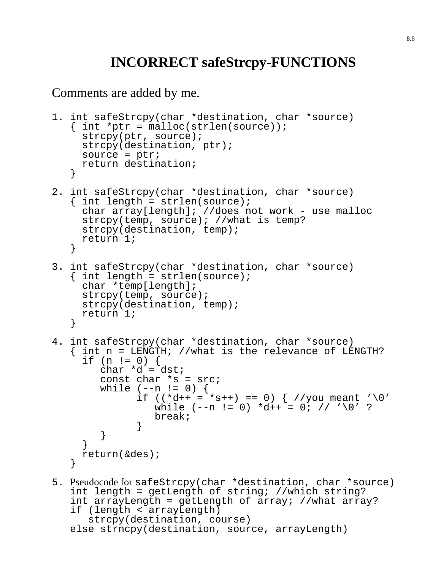# **INCORRECT safeStrcpy-FUNCTIONS**

Comments are added by me.

```
1. int safeStrcpy(char *destination, char *source)
   { int *ptr = malloc(strlen(source));
     strcpy(ptr, source);
     strcpy(destination, ptr);
     source = ptr;
     return destination;
   }
2. int safeStrcpy(char *destination, char *source)
   { int length = strlen(source);
     char array[length]; //does not work - use malloc
     strcpy(temp, source); //what is temp?
     strcpy(destination, temp);
     return 1;
   }
3. int safeStrcpy(char *destination, char *source)
   \{ int length = strlen(source);
     char *temp[length];
     strcpy(temp, source);
     strcpy(destination, temp);
     return 1;
   }
4. int safeStrcpy(char *destination, char *source)
   { int n = LENGTH; //what is the relevance of LENGTH?
     if (n != 0) {
        char *d = dst;const char *s = src;
        while (--n != 0)if ((*d++ = *s++) == 0) { // you meant '\\0' }while (-n := 0) * d++ = 0; // '0' ?break;
              }
        }
     }
    return(&des);
   }
5. Pseudocode for safeStrcpy(char *destination, char *source)
   int length = getLength of string; //which string?
   int arrayLength = getLength of array; //what array?
   if (length < arrayLength)
      strcpy(destination, course)
```

```
else strncpy(destination, source, arrayLength)
```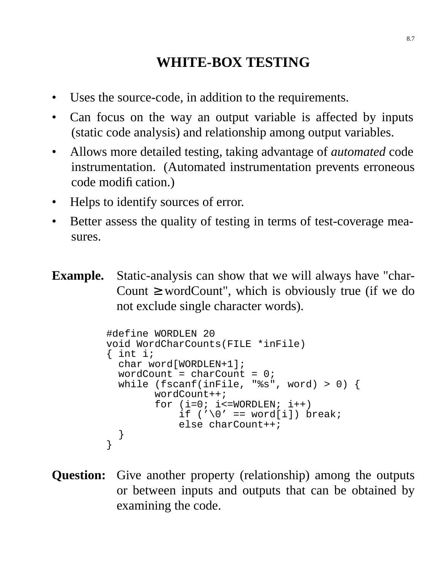# **WHITE-BOX TESTING**

- Uses the source-code, in addition to the requirements.
- Can focus on the way an output variable is affected by inputs (static code analysis) and relationship among output variables.
- Allows more detailed testing, taking advantage of *automated* code instrumentation. (Automated instrumentation prevents erroneous code modification.)
- Helps to identify sources of error.
- Better assess the quality of testing in terms of test-coverage measures.
- **Example.** Static-analysis can show that we will always have "char-Count  $\geq$  wordCount", which is obviously true (if we do not exclude single character words).

```
#define WORDLEN 20
void WordCharCounts(FILE *inFile)
{ int i;
  char word[WORDLEN+1];
  wordCount = charCount = 0;
 while (fscanf(inFile, "%s", word) > 0) {
        wordCount++;
        for (i=0; i<=WORDLEN; i++)if ('\0' == word[i]) break;
            else charCount++;
  }
}
```
**Question:** Give another property (relationship) among the outputs or between inputs and outputs that can be obtained by examining the code.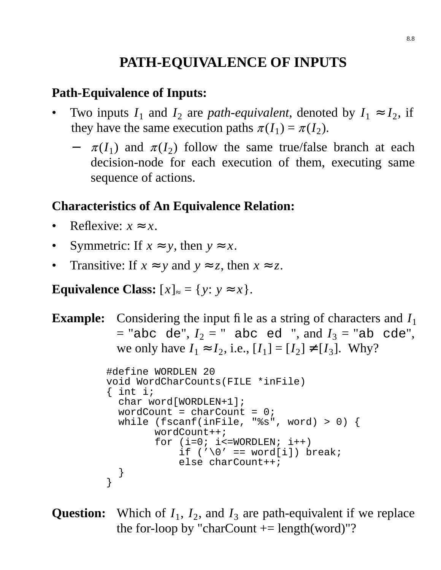# **PATH-EQUIVALENCE OF INPUTS**

### **Path-Equivalence of Inputs:**

- Two inputs  $I_1$  and  $I_2$  are *path-equivalent*, denoted by  $I_1 \approx I_2$ , if they have the same execution paths  $\pi(I_1) = \pi(I_2)$ .
	- $-\pi(I_1)$  and  $\pi(I_2)$  follow the same true/false branch at each decision-node for each execution of them, executing same sequence of actions.

#### **Characteristics of An Equivalence Relation:**

- Reflexive:  $x \approx x$ .
- Symmetric: If  $x \approx y$ , then  $y \approx x$ .
- Transitive: If  $x \approx y$  and  $y \approx z$ , then  $x \approx z$ .

**Equivalence Class:**  $[x]_{\approx} = \{y: y \approx x\}.$ 

```
Example: Considering the input file as a string of characters and I_1= "abc de", I_2 = " abc ed ", and I_3 = "ab cde",
             we only have I_1 \approx I_2, i.e., [I_1] = [I_2] \neq [I_3]. Why?
```

```
#define WORDLEN 20
void WordCharCounts(FILE *inFile)
\{ int i;
  char word[WORDLEN+1];
  wordCount = charCount = 0;
 while (fscanf(inFile, "%s", word) > 0) {
        wordCount++;
        for (i=0; i<=WORDLEN; i++)if ('\0' == word[i]) break;
            else charCount++;
  }
}
```

```
Question: Which of I_1, I_2, and I_3 are path-equivalent if we replace
            the for-loop by "charCount += length(word)"?
```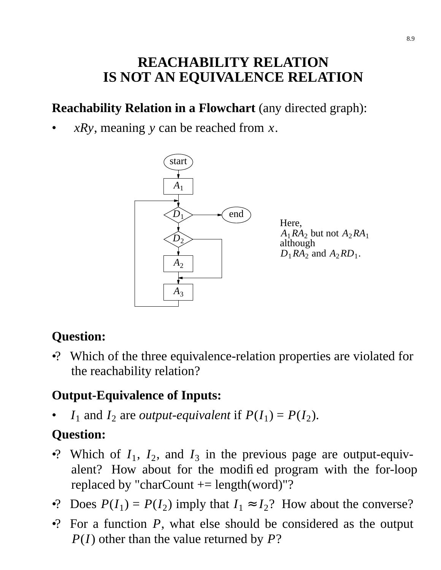# **REACHABILITY RELATION IS NOT AN EQUIVALENCE RELATION**

## **Reachability Relation in a Flowchart** (any directed graph):

• *xRy*, meaning *y* can be reached from *x*.



Here,  $A_1$ *RA*<sub>2</sub> but not  $A_2$ *RA*<sub>1</sub> although  $D_1RA_2$  and  $A_2RD_1$ .

# **Question:**

•? Which of the three equivalence-relation properties are violated for the reachability relation?

### **Output-Equivalence of Inputs:**

•  $I_1$  and  $I_2$  are *output-equivalent* if  $P(I_1) = P(I_2)$ .

# **Question:**

- •? Which of  $I_1$ ,  $I_2$ , and  $I_3$  in the previous page are output-equivalent? How about for the modified program with the for-loop replaced by "charCount  $+=$  length(word)"?
- •? Does  $P(I_1) = P(I_2)$  imply that  $I_1 \approx I_2$ ? How about the converse?
- •? For a function *P*, what else should be considered as the output *P*(*I*) other than the value returned by *P*?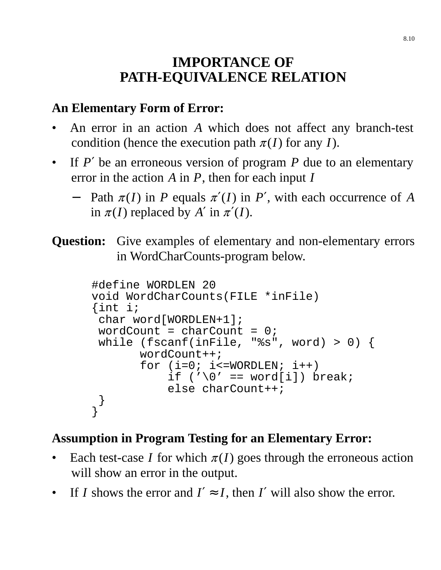# **IMPORTANCE OF PATH-EQUIVALENCE RELATION**

## **An Elementary Form of Error:**

- An error in an action *A* which does not affect any branch-test condition (hence the execution path  $\pi(I)$  for any *I*).
- If  $P'$  be an erroneous version of program  $P$  due to an elementary error in the action *A* in *P*, then for each input *I*
	- − Path <sup>π</sup> (*I*) in *P* equals <sup>π</sup> ′(*I*) in *P*′ , with each occurrence of *A* in  $\pi(I)$  replaced by A' in  $\pi'(I)$ .
- **Question:** Give examples of elementary and non-elementary errors in WordCharCounts-program below.

```
#define WORDLEN 20
void WordCharCounts(FILE *inFile)
{int i;
 char word[WORDLEN+1];
 wordCount = charCount = 0;
 while (fscanf(inFile, "%s", word) > 0) {
       wordCount++;
       for (i=0; i<=WORDLEN; i++)if ('\0' == word[i]) break;
           else charCount++;
 }
}
```
## **Assumption in Program Testing for an Elementary Error:**

- Each test-case *I* for which  $\pi(I)$  goes through the erroneous action will show an error in the output.
- If *I* shows the error and  $I' \approx I$ , then *I'* will also show the error.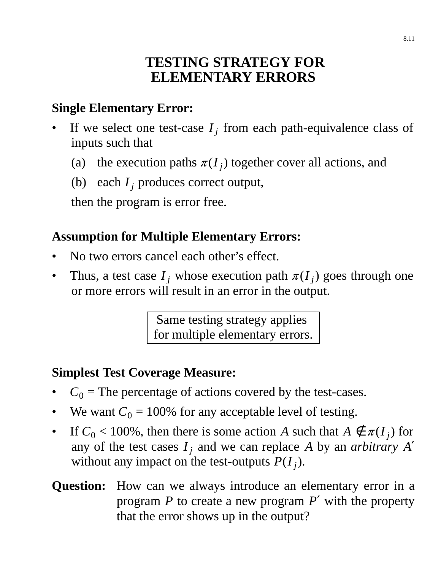## **TESTING STRATEGY FOR ELEMENTARY ERRORS**

## **Single Elementary Error:**

- If we select one test-case  $I_j$  from each path-equivalence class of inputs such that
	- (a) the execution paths  $\pi(I_j)$  together cover all actions, and
	- (b) each *I<sup>j</sup>* produces correct output,

then the program is error free.

## **Assumption for Multiple Elementary Errors:**

- No two errors cancel each other's effect.
- Thus, a test case  $I_j$  whose execution path  $\pi(I_j)$  goes through one or more errors will result in an error in the output.

Same testing strategy applies for multiple elementary errors.

### **Simplest Test Coverage Measure:**

- $C_0$  = The percentage of actions covered by the test-cases.
- We want  $C_0 = 100\%$  for any acceptable level of testing.
- If  $C_0 < 100\%$ , then there is some action *A* such that  $A \notin \pi(I_j)$  for any of the test cases  $I_j$  and we can replace A by an *arbitrary A'* without any impact on the test-outputs  $P(I_j)$ .
- **Question:** How can we always introduce an elementary error in a program *P* to create a new program *P*′ with the property that the error shows up in the output?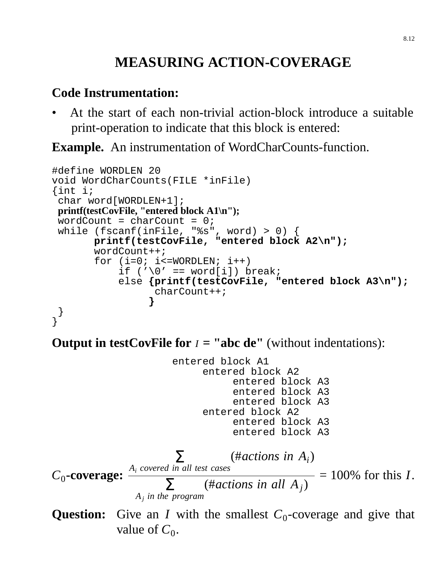# **MEASURING ACTION-COVERAGE**

#### **Code Instrumentation:**

• At the start of each non-trivial action-block introduce a suitable print-operation to indicate that this block is entered:

**Example.** An instrumentation of WordCharCounts-function.

```
#define WORDLEN 20
void WordCharCounts(FILE *inFile)
{int i;
 char word[WORDLEN+1];
printf(testCovFile, "entered block A1\n");
 wordCount = charCount = 0;
while (fscanf(inFile, "%s", word) > 0) {
       printf(testCovFile, "entered block A2\n");
       wordCount++;
       for (i=0; i<=WORDLEN; i++)if (\sqrt{0}^{\prime} == word[i]) break;
            else {printf(testCovFile, "entered block A3\n");
                  charCount++;
                  }
 }
}
```
**Output in testCovFile for**  $I =$  **"abc de"** (without indentations):

entered block A1 entered block A2 entered block A3 entered block A3 entered block A3 entered block A2 entered block A3 entered block A3  $C_0$ **-coverage:**  $\frac{A_i \text{ covered in all test cases}}{\Gamma}$  $\sum_{n=1}^{\infty}$  (#*actions in A<sub>i</sub>*) *Aj in the program*  $\sum$  (#*actions in all A<sub>j</sub>)* = 100% for this *I*.

**Question:** Give an *I* with the smallest  $C_0$ -coverage and give that value of  $C_0$ .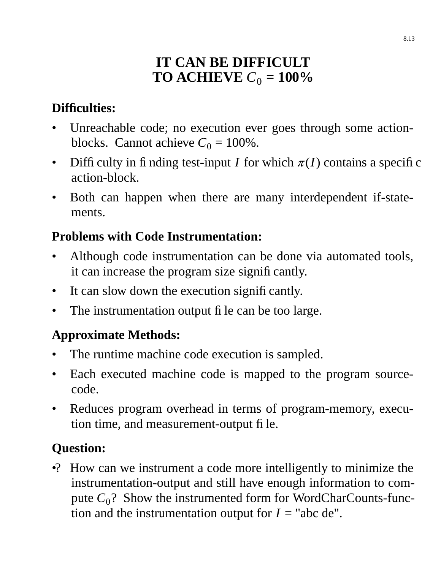# **IT CAN BE DIFFICULT TO ACHIEVE**  $C_0 = 100\%$

## **Difficulties:**

- Unreachable code; no execution ever goes through some actionblocks. Cannot achieve  $C_0 = 100\%$ .
- Difficulty in finding test-input *I* for which  $\pi(I)$  contains a specific action-block.
- Both can happen when there are many interdependent if-statements.

### **Problems with Code Instrumentation:**

- Although code instrumentation can be done via automated tools, it can increase the program size significantly.
- It can slow down the execution significantly.
- The instrumentation output file can be too large.

# **Approximate Methods:**

- The runtime machine code execution is sampled.
- Each executed machine code is mapped to the program sourcecode.
- Reduces program overhead in terms of program-memory, execution time, and measurement-output file.

# **Question:**

•? How can we instrument a code more intelligently to minimize the instrumentation-output and still have enough information to compute  $C_0$ ? Show the instrumented form for WordCharCounts-function and the instrumentation output for  $I =$  "abc de".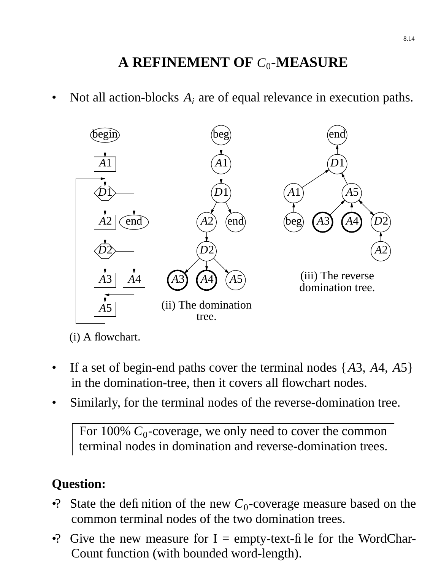# **A REFINEMENT OF** *C*<sup>0</sup> **-MEASURE**

• Not all action-blocks  $A_i$  are of equal relevance in execution paths.



(i) A flowchart.

- If a set of begin-end paths cover the terminal nodes  $\{A3, A4, A5\}$ in the domination-tree, then it covers all flowchart nodes.
- Similarly, for the terminal nodes of the reverse-domination tree.

For  $100\%$   $C_0$ -coverage, we only need to cover the common terminal nodes in domination and reverse-domination trees.

# **Question:**

- •? State the definition of the new  $C_0$ -coverage measure based on the common terminal nodes of the two domination trees.
- •? Give the new measure for  $I = \text{empty-text-f}$  le for the WordChar-Count function (with bounded word-length).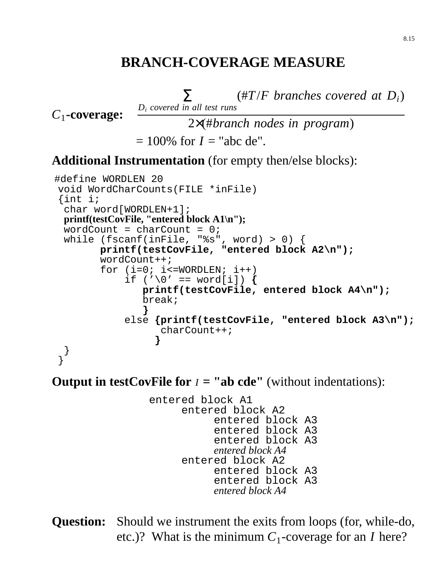## **BRANCH-COVERAGE MEASURE**

*D<sup>i</sup> covered in all test runs*  $\sum_{i=1}^{n}$  (#T/*F* branches covered at D<sub>*i*</sub>)</sub>

*C*1 **-coverage:**

2×(#*branch nodes in program*)

```
= 100\% for I = "abc de".
```
#### **Additional Instrumentation** (for empty then/else blocks):

```
#define WORDLEN 20
void WordCharCounts(FILE *inFile)
{int i;
 char word[WORDLEN+1];
 printf(testCovFile, "entered block A1\n");
 wordCount = charCount = 0;
 while (fscanf(inFile, "%s", word) > 0) {
       printf(testCovFile, "entered block A2\n");
        wordCount++;
        for (i=0; i<=WORDLEN; i++)if ('\0' == word[i]) {
               printf(testCovFile, entered block A4\n");
               break;
               }
            else {printf(testCovFile, "entered block A3\n");
                  charCount++;
                 }
 }
}
```
**Output in testCovFile for**  $I =$  **"ab cde"** (without indentations):

entered block A1 entered block A2 entered block A3 entered block A3 entered block A3 *entered block A4* entered block A2 entered block A3 entered block A3 *entered block A4*

**Question:** Should we instrument the exits from loops (for, while-do, etc.)? What is the minimum  $C_1$ -coverage for an *I* here?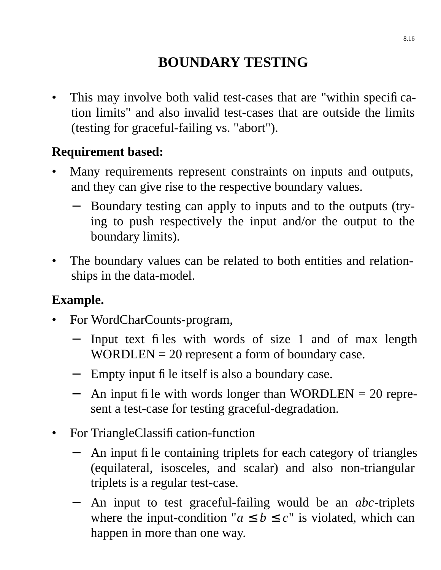# **BOUNDARY TESTING**

This may involve both valid test-cases that are "within specification limits" and also invalid test-cases that are outside the limits (testing for graceful-failing vs. "abort").

### **Requirement based:**

- Many requirements represent constraints on inputs and outputs, and they can give rise to the respective boundary values.
	- Boundary testing can apply to inputs and to the outputs (trying to push respectively the input and/or the output to the boundary limits).
- The boundary values can be related to both entities and relationships in the data-model.

### **Example.**

- For WordCharCounts-program,
	- − Input text files with words of size 1 and of max length  $WORDLEN = 20$  represent a form of boundary case.
	- − Empty input file itself is also a boundary case.
	- − An input file with words longer than WORDLEN = 20 represent a test-case for testing graceful-degradation.
- For TriangleClassification-function
	- An input file containing triplets for each category of triangles (equilateral, isosceles, and scalar) and also non-triangular triplets is a regular test-case.
	- − An input to test graceful-failing would be an *abc*-triplets where the input-condition " $a \le b \le c$ " is violated, which can happen in more than one way.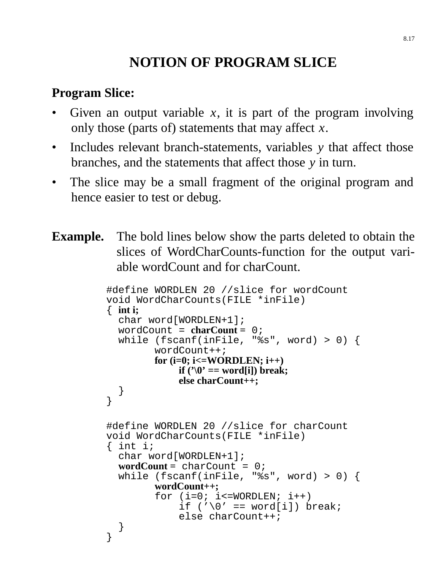# **NOTION OF PROGRAM SLICE**

## **Program Slice:**

- Given an output variable  $x$ , it is part of the program involving only those (parts of) statements that may affect *x*.
- Includes relevant branch-statements, variables *y* that affect those branches, and the statements that affect those *y* in turn.
- The slice may be a small fragment of the original program and hence easier to test or debug.
- **Example.** The bold lines below show the parts deleted to obtain the slices of WordCharCounts-function for the output variable wordCount and for charCount.

```
#define WORDLEN 20 //slice for wordCount
void WordCharCounts(FILE *inFile)
{ int i;
  char word[WORDLEN+1];
  wordCount = charCount = 0;
  while (fscanf(inFile, "%s", word) > 0) {
        wordCount++;
        for (i=0; i<=WORDLEN; i++)
            if ('0') == word[i]) break;
             else charCount++;
  }
}
#define WORDLEN 20 //slice for charCount
void WordCharCounts(FILE *inFile)
\{ int i;
  char word[WORDLEN+1];
  wordCount = charCount = 0;
  while (fscanf(inFile, "%s", word) > 0) {
        wordCount++;
        for (i=0; i<=WORDLEN; i++)if ('\0' == word[i]) break;
             else charCount++;
  }
}
```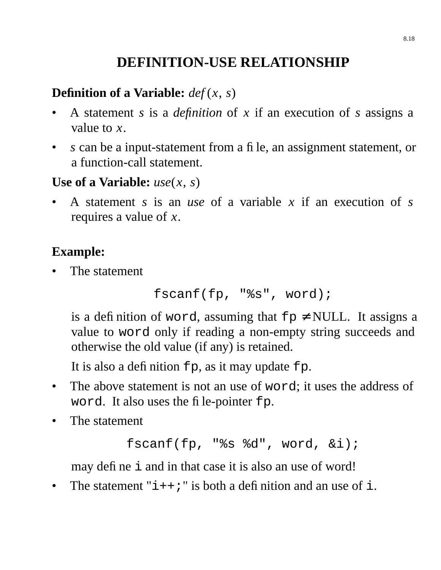# **DEFINITION-USE RELATIONSHIP**

# **Definition of a Variable:** *def* (*x*, *s*)

- A statement *s* is a *definition* of *x* if an execution of *s* assigns a value to *x*.
- *s* can be a input-statement from a file, an assignment statement, or a function-call statement.

### **Use of a Variable:** *use*(*x*, *s*)

• A statement *s* is an *use* of a variable *x* if an execution of *s* requires a value of *x*.

# **Example:**

The statement

```
fscanf(fp, "%s", word);
```
is a definition of word, assuming that  $fp \neq NULL$ . It assigns a value to word only if reading a non-empty string succeeds and otherwise the old value (if any) is retained.

It is also a definition  $fp$ , as it may update  $fp$ .

- The above statement is not an use of word; it uses the address of word. It also uses the file-pointer fp.
- The statement

```
fscanf(fp, "%s %d", word, &i);
```
may define i and in that case it is also an use of word!

• The statement " $i++$ ;" is both a definition and an use of  $i$ .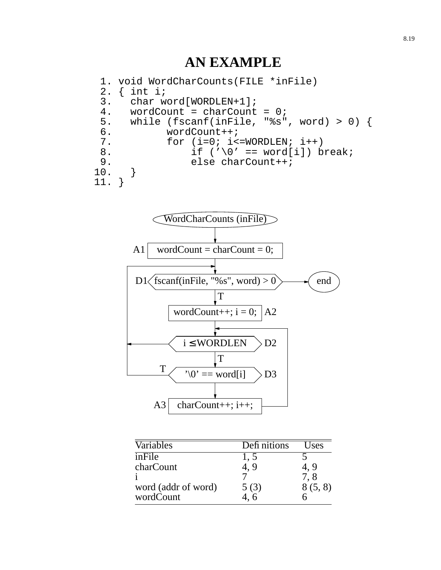### **AN EXAMPLE**

```
1. void WordCharCounts(FILE *inFile)
 2. \{ int i \}3. char word[WORDLEN+1];
 4. wordCount = charCount = 0;5. while (fscanf(inFile, "%s", word) > 0) {<br>6. wordCount++;
            6. wordCount++;
 7. for (i=0; i<=WORDLEN; i++)8. if ('\0' == word[i]) break;
9. else charCount++;<br>0. }
10. }
11. }
```


| Variables           | Defi nitions | Uses    |
|---------------------|--------------|---------|
| inFile              | 1. J         |         |
| charCount           | 4, 9         | 4, 9    |
|                     |              | 7.8     |
| word (addr of word) | 5(3)         | 8(5, 8) |
| wordCount           |              |         |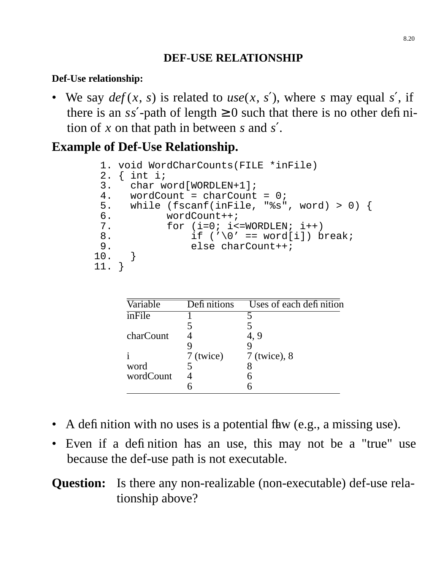#### **DEF-USE RELATIONSHIP**

#### **Def-Use relationship:**

• We say  $def(x, s)$  is related to  $use(x, s')$ , where *s* may equal *s'*, if there is an  $ss'$ -path of length  $\geq 0$  such that there is no other definition of *x* on that path in between *s* and *s* ′.

# **Example of Def-Use Relationship.**

```
1. void WordCharCounts(FILE *inFile)
2. \{ int i;
3. char word[WORDLEN+1];
4. wordCount = charCount = 0;
5. while (fscanf(inFile, "%s", word) > 0) {
6. wordCount++;
7. for (i=0; i<=WORDLEN; i++)8. if ('\0' == word[i]) break;
9. else charCount++;<br>0. }
10. }
11. }
```

| Variable  | Defi nitions | Uses of each definition |
|-----------|--------------|-------------------------|
| inFile    |              |                         |
|           |              |                         |
| charCount |              | 4, 9                    |
|           |              |                         |
|           | 7 (twice)    | $7$ (twice), $8$        |
| word      |              |                         |
| wordCount |              |                         |
|           |              |                         |

- A definition with no uses is a potential flaw (e.g., a missing use).
- Even if a definition has an use, this may not be a "true" use because the def-use path is not executable.

## **Question:** Is there any non-realizable (non-executable) def-use relationship above?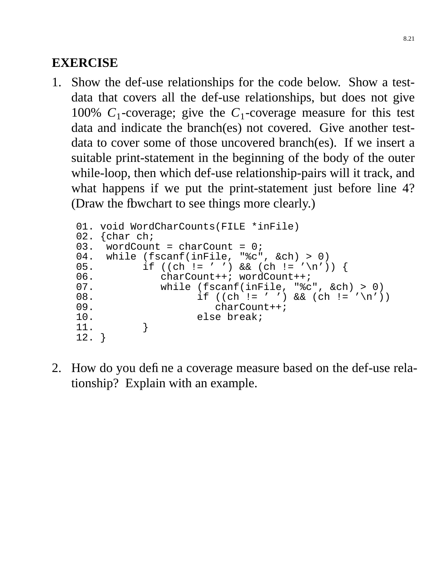## **EXERCISE**

1. Show the def-use relationships for the code below. Show a testdata that covers all the def-use relationships, but does not give 100%  $C_1$ -coverage; give the  $C_1$ -coverage measure for this test data and indicate the branch(es) not covered. Give another testdata to cover some of those uncovered branch(es). If we insert a suitable print-statement in the beginning of the body of the outer while-loop, then which def-use relationship-pairs will it track, and what happens if we put the print-statement just before line 4? (Draw the fbwchart to see things more clearly.)

```
01. void WordCharCounts(FILE *inFile)
02. {char ch;<br>03. wordCoun
    wordCount = charCount = 0;04. while (fscanf(inFile, "%c", &ch) > 0)
05. if ((ch != ' ' ) & (ch != ' \n})06. charCount++; wordCount++;
07. while (fscanf(inFile, "%c", &ch) > 0)
08. if ((ch != ' ' ) & (ch != ''))09.<br>10. charCount++;<br>20. clse break;
          else break;<br>}
11. }
12. }
```
2. How do you define a coverage measure based on the def-use relationship? Explain with an example.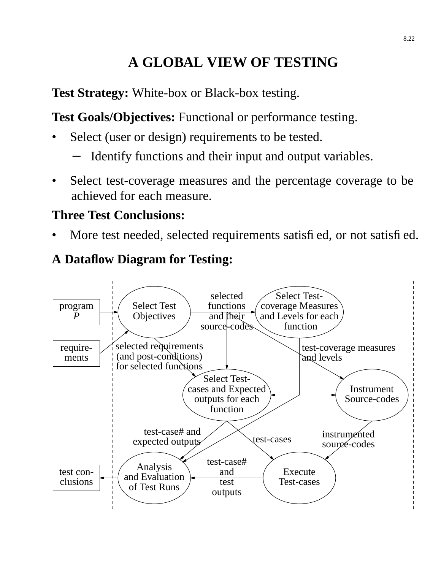# **A GLOBAL VIEW OF TESTING**

**Test Strategy:** White-box or Black-box testing.

**Test Goals/Objectives:** Functional or performance testing.

- Select (user or design) requirements to be tested.
	- Identify functions and their input and output variables.
- Select test-coverage measures and the percentage coverage to be achieved for each measure.

#### **Three Test Conclusions:**

More test needed, selected requirements satisfied, or not satisfied.

## **A Dataflow Diagram for Testing:**

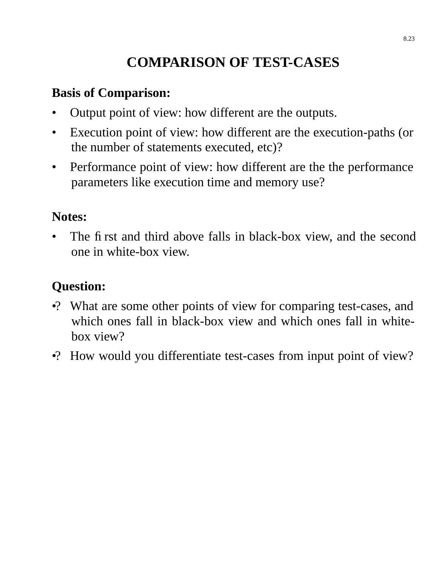# **COMPARISON OF TEST-CASES**

#### **Basis of Comparison:**

- Output point of view: how different are the outputs.
- Execution point of view: how different are the execution-paths (or the number of statements executed, etc)?
- Performance point of view: how different are the the performance parameters like execution time and memory use?

#### **Notes:**

The first and third above falls in black-box view, and the second one in white-box view.

## **Question:**

- •? What are some other points of view for comparing test-cases, and which ones fall in black-box view and which ones fall in whitebox view?
- •? How would you differentiate test-cases from input point of view?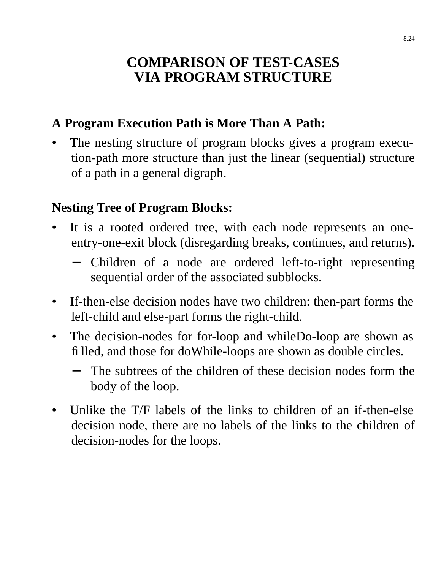## **COMPARISON OF TEST-CASES VIA PROGRAM STRUCTURE**

## **A Program Execution Path is More Than A Path:**

The nesting structure of program blocks gives a program execution-path more structure than just the linear (sequential) structure of a path in a general digraph.

### **Nesting Tree of Program Blocks:**

- It is a rooted ordered tree, with each node represents an oneentry-one-exit block (disregarding breaks, continues, and returns).
	- − Children of a node are ordered left-to-right representing sequential order of the associated subblocks.
- If-then-else decision nodes have two children: then-part forms the left-child and else-part forms the right-child.
- The decision-nodes for for-loop and whileDo-loop are shown as filled, and those for doWhile-loops are shown as double circles.
	- The subtrees of the children of these decision nodes form the body of the loop.
- Unlike the T/F labels of the links to children of an if-then-else decision node, there are no labels of the links to the children of decision-nodes for the loops.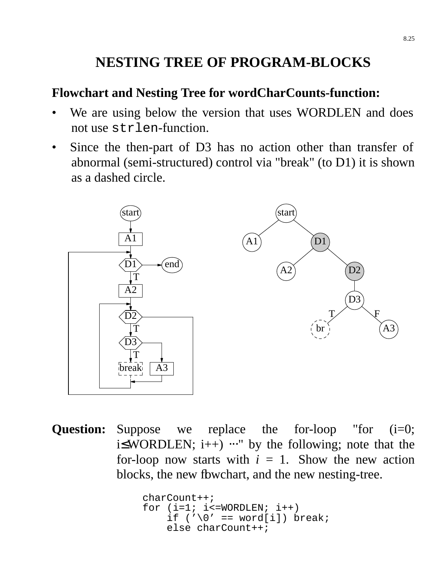# **NESTING TREE OF PROGRAM-BLOCKS**

#### **Flowchart and Nesting Tree for wordCharCounts-function:**

- We are using below the version that uses WORDLEN and does not use strlen-function.
- Since the then-part of D3 has no action other than transfer of abnormal (semi-structured) control via "break" (to D1) it is shown as a dashed circle.



**Question:** Suppose we replace the for-loop "for (i=0;  $i\leq WORDLEN$ ;  $i++)$   $\cdots$ " by the following; note that the for-loop now starts with  $i = 1$ . Show the new action blocks, the new fbwchart, and the new nesting-tree.

```
charCount++;
for (i=1; i<=WORDLEN; i++)if ('\0' == word[i]) break;
    else charCount++;
```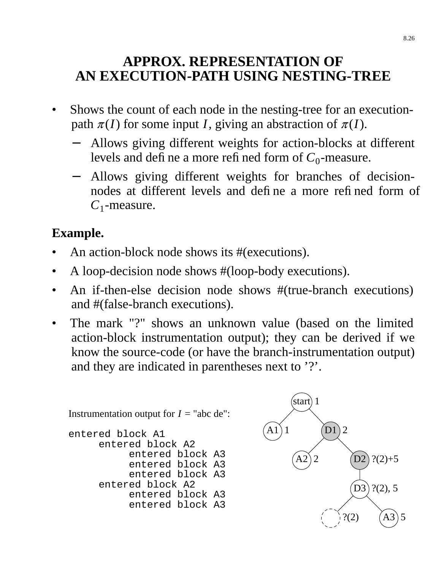## **APPROX. REPRESENTATION OF AN EXECUTION-PATH USING NESTING-TREE**

- Shows the count of each node in the nesting-tree for an executionpath  $\pi(I)$  for some input *I*, giving an abstraction of  $\pi(I)$ .
	- Allows giving different weights for action-blocks at different levels and define a more refined form of  $C_0$ -measure.
	- − Allows giving different weights for branches of decisionnodes at different levels and define a more refined form of *C*1 -measure.

# **Example.**

- An action-block node shows its #(executions).
- A loop-decision node shows #(loop-body executions).
- An if-then-else decision node shows #(true-branch executions) and #(false-branch executions).
- The mark "?" shows an unknown value (based on the limited action-block instrumentation output); they can be derived if we know the source-code (or have the branch-instrumentation output) and they are indicated in parentheses next to '?'.